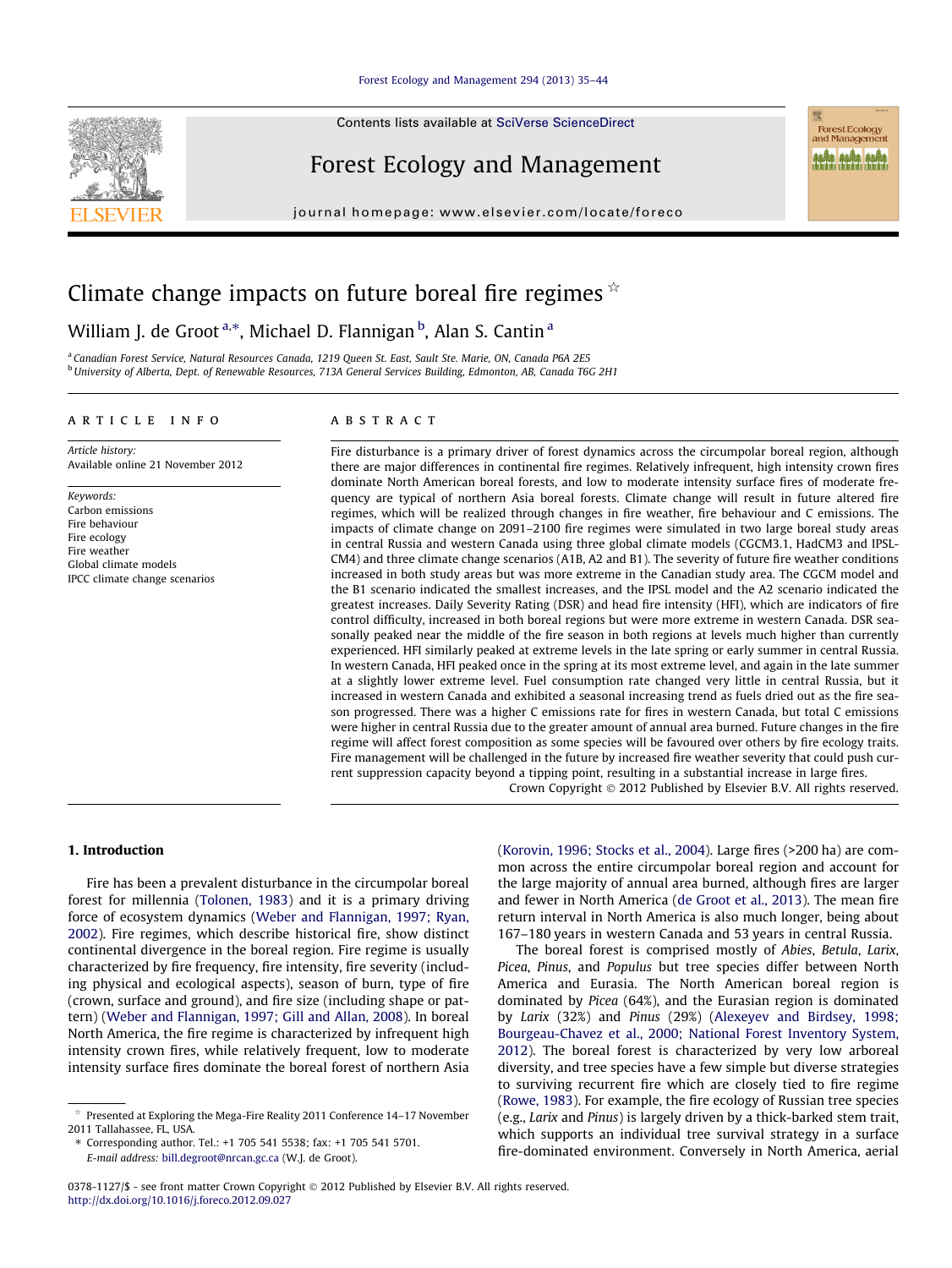#### [Forest Ecology and Management 294 \(2013\) 35–44](http://dx.doi.org/10.1016/j.foreco.2012.09.027)



Contents lists available at [SciVerse ScienceDirect](http://www.sciencedirect.com/science/journal/03781127)

## Forest Ecology and Management

journal homepage: [www.elsevier.com/locate/foreco](http://www.elsevier.com/locate/foreco)



# Climate change impacts on future boreal fire regimes  $\dot{\alpha}$

## William J. de Groot <sup>a,</sup>\*, Michael D. Flannigan <sup>b</sup>, Alan S. Cantin <sup>a</sup>

<sup>a</sup> Canadian Forest Service, Natural Resources Canada, 1219 Queen St. East, Sault Ste. Marie, ON, Canada P6A 2E5 <sup>b</sup> University of Alberta, Dept. of Renewable Resources, 713A General Services Building, Edmonton, AB, Canada T6G 2H1

### article info

Article history: Available online 21 November 2012

Keywords: Carbon emissions Fire behaviour Fire ecology Fire weather Global climate models IPCC climate change scenarios

## **ABSTRACT**

Fire disturbance is a primary driver of forest dynamics across the circumpolar boreal region, although there are major differences in continental fire regimes. Relatively infrequent, high intensity crown fires dominate North American boreal forests, and low to moderate intensity surface fires of moderate frequency are typical of northern Asia boreal forests. Climate change will result in future altered fire regimes, which will be realized through changes in fire weather, fire behaviour and C emissions. The impacts of climate change on 2091–2100 fire regimes were simulated in two large boreal study areas in central Russia and western Canada using three global climate models (CGCM3.1, HadCM3 and IPSL-CM4) and three climate change scenarios (A1B, A2 and B1). The severity of future fire weather conditions increased in both study areas but was more extreme in the Canadian study area. The CGCM model and the B1 scenario indicated the smallest increases, and the IPSL model and the A2 scenario indicated the greatest increases. Daily Severity Rating (DSR) and head fire intensity (HFI), which are indicators of fire control difficulty, increased in both boreal regions but were more extreme in western Canada. DSR seasonally peaked near the middle of the fire season in both regions at levels much higher than currently experienced. HFI similarly peaked at extreme levels in the late spring or early summer in central Russia. In western Canada, HFI peaked once in the spring at its most extreme level, and again in the late summer at a slightly lower extreme level. Fuel consumption rate changed very little in central Russia, but it increased in western Canada and exhibited a seasonal increasing trend as fuels dried out as the fire season progressed. There was a higher C emissions rate for fires in western Canada, but total C emissions were higher in central Russia due to the greater amount of annual area burned. Future changes in the fire regime will affect forest composition as some species will be favoured over others by fire ecology traits. Fire management will be challenged in the future by increased fire weather severity that could push current suppression capacity beyond a tipping point, resulting in a substantial increase in large fires.

Crown Copyright © 2012 Published by Elsevier B.V. All rights reserved.

#### 1. Introduction

Fire has been a prevalent disturbance in the circumpolar boreal forest for millennia [\(Tolonen, 1983](#page-9-0)) and it is a primary driving force of ecosystem dynamics [\(Weber and Flannigan, 1997; Ryan,](#page-9-0) [2002](#page-9-0)). Fire regimes, which describe historical fire, show distinct continental divergence in the boreal region. Fire regime is usually characterized by fire frequency, fire intensity, fire severity (including physical and ecological aspects), season of burn, type of fire (crown, surface and ground), and fire size (including shape or pattern) ([Weber and Flannigan, 1997; Gill and Allan, 2008](#page-9-0)). In boreal North America, the fire regime is characterized by infrequent high intensity crown fires, while relatively frequent, low to moderate intensity surface fires dominate the boreal forest of northern Asia

([Korovin, 1996; Stocks et al., 2004](#page-8-0)). Large fires (>200 ha) are common across the entire circumpolar boreal region and account for the large majority of annual area burned, although fires are larger and fewer in North America [\(de Groot et al., 2013](#page-8-0)). The mean fire return interval in North America is also much longer, being about 167–180 years in western Canada and 53 years in central Russia.

The boreal forest is comprised mostly of Abies, Betula, Larix, Picea, Pinus, and Populus but tree species differ between North America and Eurasia. The North American boreal region is dominated by Picea (64%), and the Eurasian region is dominated by Larix (32%) and Pinus (29%) [\(Alexeyev and Birdsey, 1998;](#page-8-0) [Bourgeau-Chavez et al., 2000; National Forest Inventory System,](#page-8-0) [2012](#page-8-0)). The boreal forest is characterized by very low arboreal diversity, and tree species have a few simple but diverse strategies to surviving recurrent fire which are closely tied to fire regime ([Rowe, 1983\)](#page-9-0). For example, the fire ecology of Russian tree species (e.g., Larix and Pinus) is largely driven by a thick-barked stem trait, which supports an individual tree survival strategy in a surface fire-dominated environment. Conversely in North America, aerial

 $*$  Presented at Exploring the Mega-Fire Reality 2011 Conference 14–17 November 2011 Tallahassee, FL, USA.

<sup>⇑</sup> Corresponding author. Tel.: +1 705 541 5538; fax: +1 705 541 5701. E-mail address: [bill.degroot@nrcan.gc.ca](mailto:bill.degroot@nrcan.gc.ca) (W.J. de Groot).

<sup>0378-1127/\$ -</sup> see front matter Crown Copyright © 2012 Published by Elsevier B.V. All rights reserved. <http://dx.doi.org/10.1016/j.foreco.2012.09.027>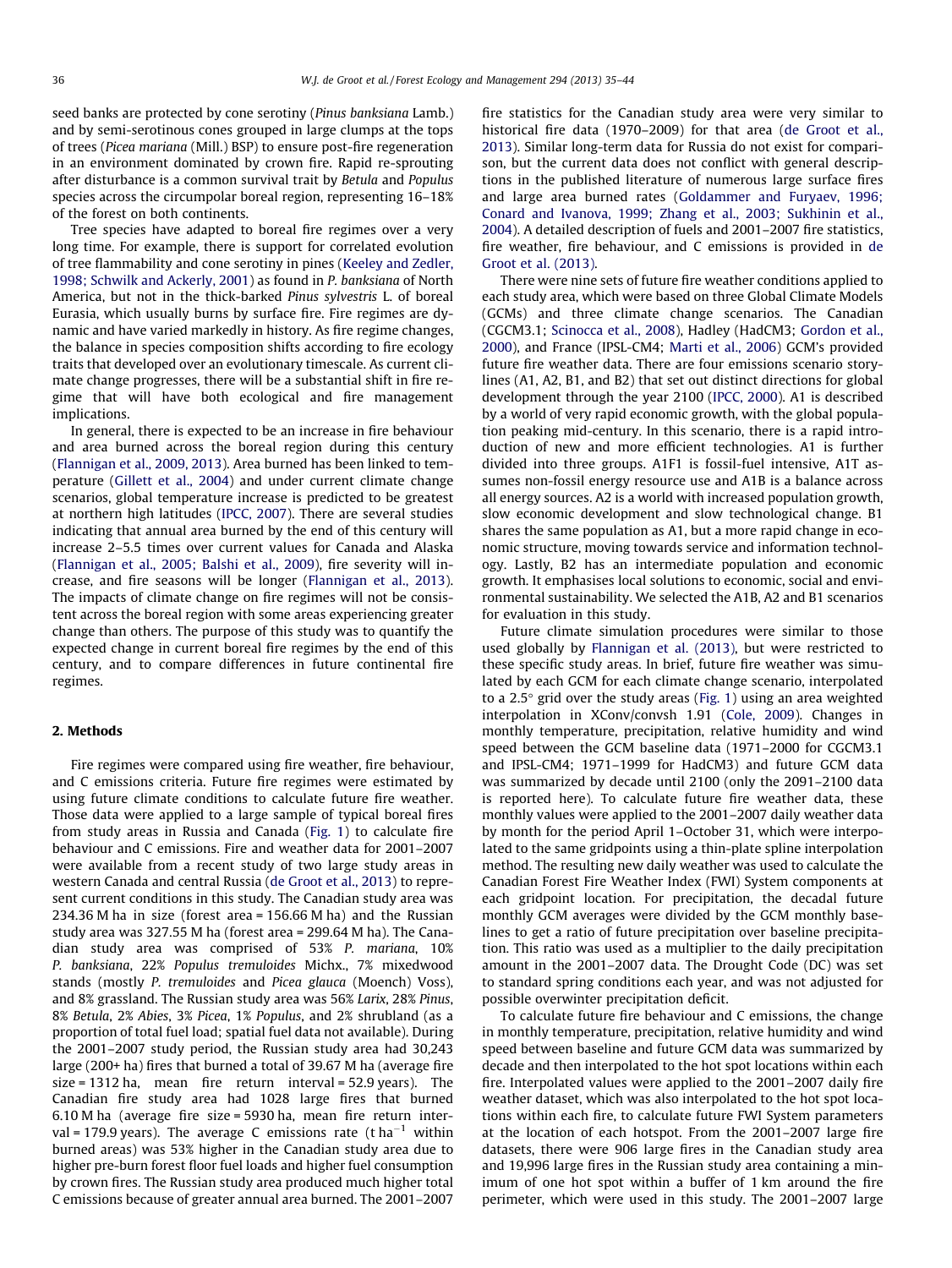seed banks are protected by cone serotiny (Pinus banksiana Lamb.) and by semi-serotinous cones grouped in large clumps at the tops of trees (Picea mariana (Mill.) BSP) to ensure post-fire regeneration in an environment dominated by crown fire. Rapid re-sprouting after disturbance is a common survival trait by Betula and Populus species across the circumpolar boreal region, representing 16–18% of the forest on both continents.

Tree species have adapted to boreal fire regimes over a very long time. For example, there is support for correlated evolution of tree flammability and cone serotiny in pines ([Keeley and Zedler,](#page-8-0) [1998; Schwilk and Ackerly, 2001](#page-8-0)) as found in P. banksiana of North America, but not in the thick-barked Pinus sylvestris L. of boreal Eurasia, which usually burns by surface fire. Fire regimes are dynamic and have varied markedly in history. As fire regime changes, the balance in species composition shifts according to fire ecology traits that developed over an evolutionary timescale. As current climate change progresses, there will be a substantial shift in fire regime that will have both ecological and fire management implications.

In general, there is expected to be an increase in fire behaviour and area burned across the boreal region during this century ([Flannigan et al., 2009, 2013\)](#page-8-0). Area burned has been linked to temperature ([Gillett et al., 2004](#page-8-0)) and under current climate change scenarios, global temperature increase is predicted to be greatest at northern high latitudes ([IPCC, 2007\)](#page-8-0). There are several studies indicating that annual area burned by the end of this century will increase 2–5.5 times over current values for Canada and Alaska ([Flannigan et al., 2005; Balshi et al., 2009\)](#page-8-0), fire severity will increase, and fire seasons will be longer ([Flannigan et al., 2013\)](#page-8-0). The impacts of climate change on fire regimes will not be consistent across the boreal region with some areas experiencing greater change than others. The purpose of this study was to quantify the expected change in current boreal fire regimes by the end of this century, and to compare differences in future continental fire regimes.

#### 2. Methods

Fire regimes were compared using fire weather, fire behaviour, and C emissions criteria. Future fire regimes were estimated by using future climate conditions to calculate future fire weather. Those data were applied to a large sample of typical boreal fires from study areas in Russia and Canada [\(Fig. 1\)](#page-2-0) to calculate fire behaviour and C emissions. Fire and weather data for 2001–2007 were available from a recent study of two large study areas in western Canada and central Russia [\(de Groot et al., 2013](#page-8-0)) to represent current conditions in this study. The Canadian study area was 234.36 M ha in size (forest area = 156.66 M ha) and the Russian study area was 327.55 M ha (forest area = 299.64 M ha). The Canadian study area was comprised of 53% P. mariana, 10% P. banksiana, 22% Populus tremuloides Michx., 7% mixedwood stands (mostly P. tremuloides and Picea glauca (Moench) Voss), and 8% grassland. The Russian study area was 56% Larix, 28% Pinus, 8% Betula, 2% Abies, 3% Picea, 1% Populus, and 2% shrubland (as a proportion of total fuel load; spatial fuel data not available). During the 2001–2007 study period, the Russian study area had 30,243 large (200+ ha) fires that burned a total of 39.67 M ha (average fire size = 1312 ha, mean fire return interval = 52.9 years). The Canadian fire study area had 1028 large fires that burned 6.10 M ha (average fire size = 5930 ha, mean fire return interval = 179.9 years). The average C emissions rate (t ha<sup>-1</sup> within burned areas) was 53% higher in the Canadian study area due to higher pre-burn forest floor fuel loads and higher fuel consumption by crown fires. The Russian study area produced much higher total C emissions because of greater annual area burned. The 2001–2007

fire statistics for the Canadian study area were very similar to historical fire data (1970–2009) for that area [\(de Groot et al.,](#page-8-0) [2013\)](#page-8-0). Similar long-term data for Russia do not exist for comparison, but the current data does not conflict with general descriptions in the published literature of numerous large surface fires and large area burned rates ([Goldammer and Furyaev, 1996;](#page-8-0) [Conard and Ivanova, 1999; Zhang et al., 2003; Sukhinin et al.,](#page-8-0) [2004\)](#page-8-0). A detailed description of fuels and 2001–2007 fire statistics, fire weather, fire behaviour, and C emissions is provided in [de](#page-8-0) [Groot et al. \(2013\)](#page-8-0).

There were nine sets of future fire weather conditions applied to each study area, which were based on three Global Climate Models (GCMs) and three climate change scenarios. The Canadian (CGCM3.1; [Scinocca et al., 2008\)](#page-9-0), Hadley (HadCM3; [Gordon et al.,](#page-8-0) [2000](#page-8-0)), and France (IPSL-CM4; [Marti et al., 2006\)](#page-8-0) GCM's provided future fire weather data. There are four emissions scenario storylines (A1, A2, B1, and B2) that set out distinct directions for global development through the year 2100 [\(IPCC, 2000\)](#page-8-0). A1 is described by a world of very rapid economic growth, with the global population peaking mid-century. In this scenario, there is a rapid introduction of new and more efficient technologies. A1 is further divided into three groups. A1F1 is fossil-fuel intensive, A1T assumes non-fossil energy resource use and A1B is a balance across all energy sources. A2 is a world with increased population growth, slow economic development and slow technological change. B1 shares the same population as A1, but a more rapid change in economic structure, moving towards service and information technology. Lastly, B2 has an intermediate population and economic growth. It emphasises local solutions to economic, social and environmental sustainability. We selected the A1B, A2 and B1 scenarios for evaluation in this study.

Future climate simulation procedures were similar to those used globally by [Flannigan et al. \(2013\),](#page-8-0) but were restricted to these specific study areas. In brief, future fire weather was simulated by each GCM for each climate change scenario, interpolated to a  $2.5^{\circ}$  grid over the study areas ([Fig. 1](#page-2-0)) using an area weighted interpolation in XConv/convsh 1.91 ([Cole, 2009](#page-8-0)). Changes in monthly temperature, precipitation, relative humidity and wind speed between the GCM baseline data (1971–2000 for CGCM3.1 and IPSL-CM4; 1971–1999 for HadCM3) and future GCM data was summarized by decade until 2100 (only the 2091–2100 data is reported here). To calculate future fire weather data, these monthly values were applied to the 2001–2007 daily weather data by month for the period April 1–October 31, which were interpolated to the same gridpoints using a thin-plate spline interpolation method. The resulting new daily weather was used to calculate the Canadian Forest Fire Weather Index (FWI) System components at each gridpoint location. For precipitation, the decadal future monthly GCM averages were divided by the GCM monthly baselines to get a ratio of future precipitation over baseline precipitation. This ratio was used as a multiplier to the daily precipitation amount in the 2001–2007 data. The Drought Code (DC) was set to standard spring conditions each year, and was not adjusted for possible overwinter precipitation deficit.

To calculate future fire behaviour and C emissions, the change in monthly temperature, precipitation, relative humidity and wind speed between baseline and future GCM data was summarized by decade and then interpolated to the hot spot locations within each fire. Interpolated values were applied to the 2001–2007 daily fire weather dataset, which was also interpolated to the hot spot locations within each fire, to calculate future FWI System parameters at the location of each hotspot. From the 2001–2007 large fire datasets, there were 906 large fires in the Canadian study area and 19,996 large fires in the Russian study area containing a minimum of one hot spot within a buffer of 1 km around the fire perimeter, which were used in this study. The 2001–2007 large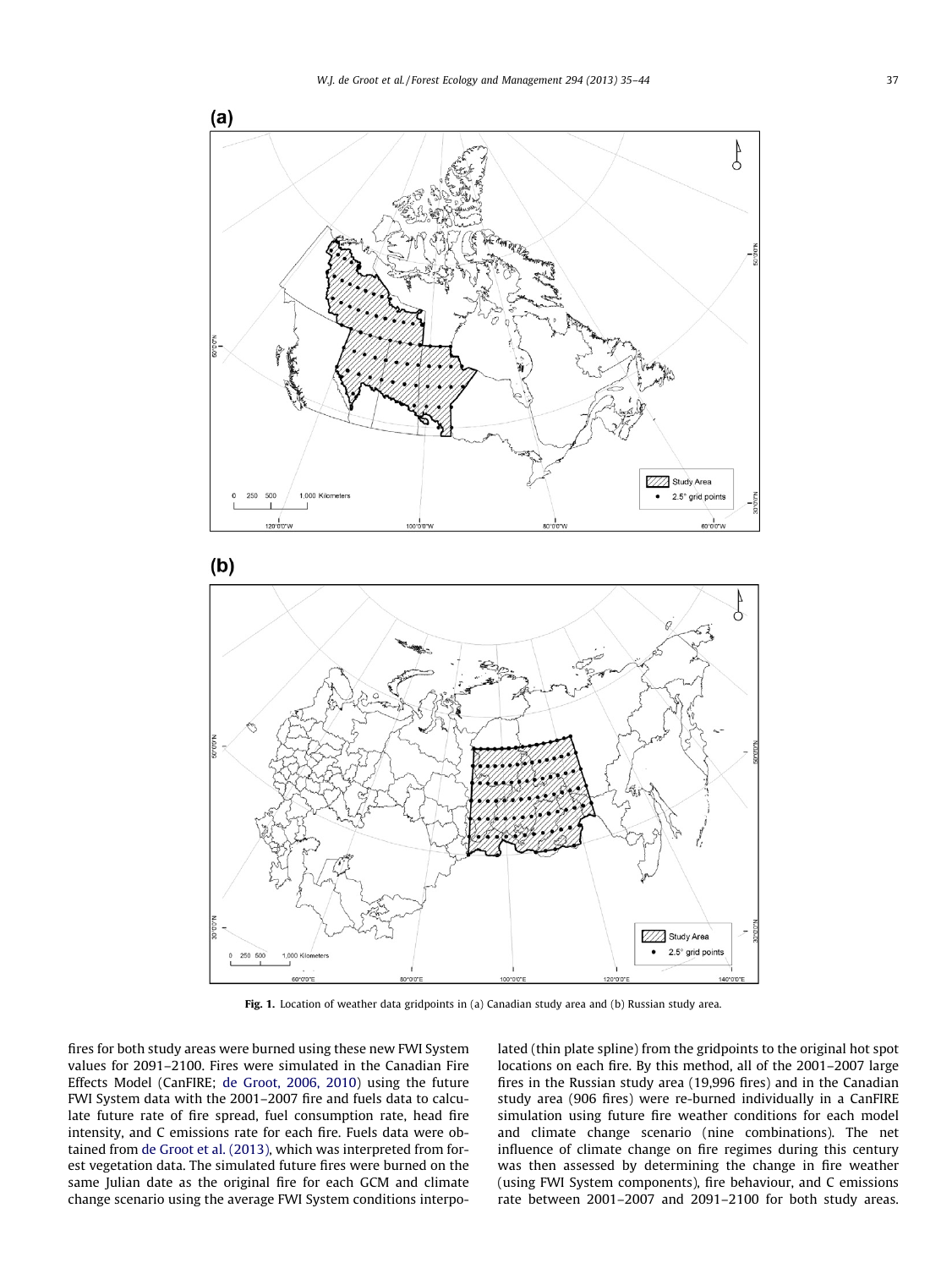<span id="page-2-0"></span>

Fig. 1. Location of weather data gridpoints in (a) Canadian study area and (b) Russian study area.

fires for both study areas were burned using these new FWI System values for 2091–2100. Fires were simulated in the Canadian Fire Effects Model (CanFIRE; [de Groot, 2006, 2010](#page-8-0)) using the future FWI System data with the 2001–2007 fire and fuels data to calculate future rate of fire spread, fuel consumption rate, head fire intensity, and C emissions rate for each fire. Fuels data were obtained from [de Groot et al. \(2013\)](#page-8-0), which was interpreted from forest vegetation data. The simulated future fires were burned on the same Julian date as the original fire for each GCM and climate change scenario using the average FWI System conditions interpolated (thin plate spline) from the gridpoints to the original hot spot locations on each fire. By this method, all of the 2001–2007 large fires in the Russian study area (19,996 fires) and in the Canadian study area (906 fires) were re-burned individually in a CanFIRE simulation using future fire weather conditions for each model and climate change scenario (nine combinations). The net influence of climate change on fire regimes during this century was then assessed by determining the change in fire weather (using FWI System components), fire behaviour, and C emissions rate between 2001–2007 and 2091–2100 for both study areas.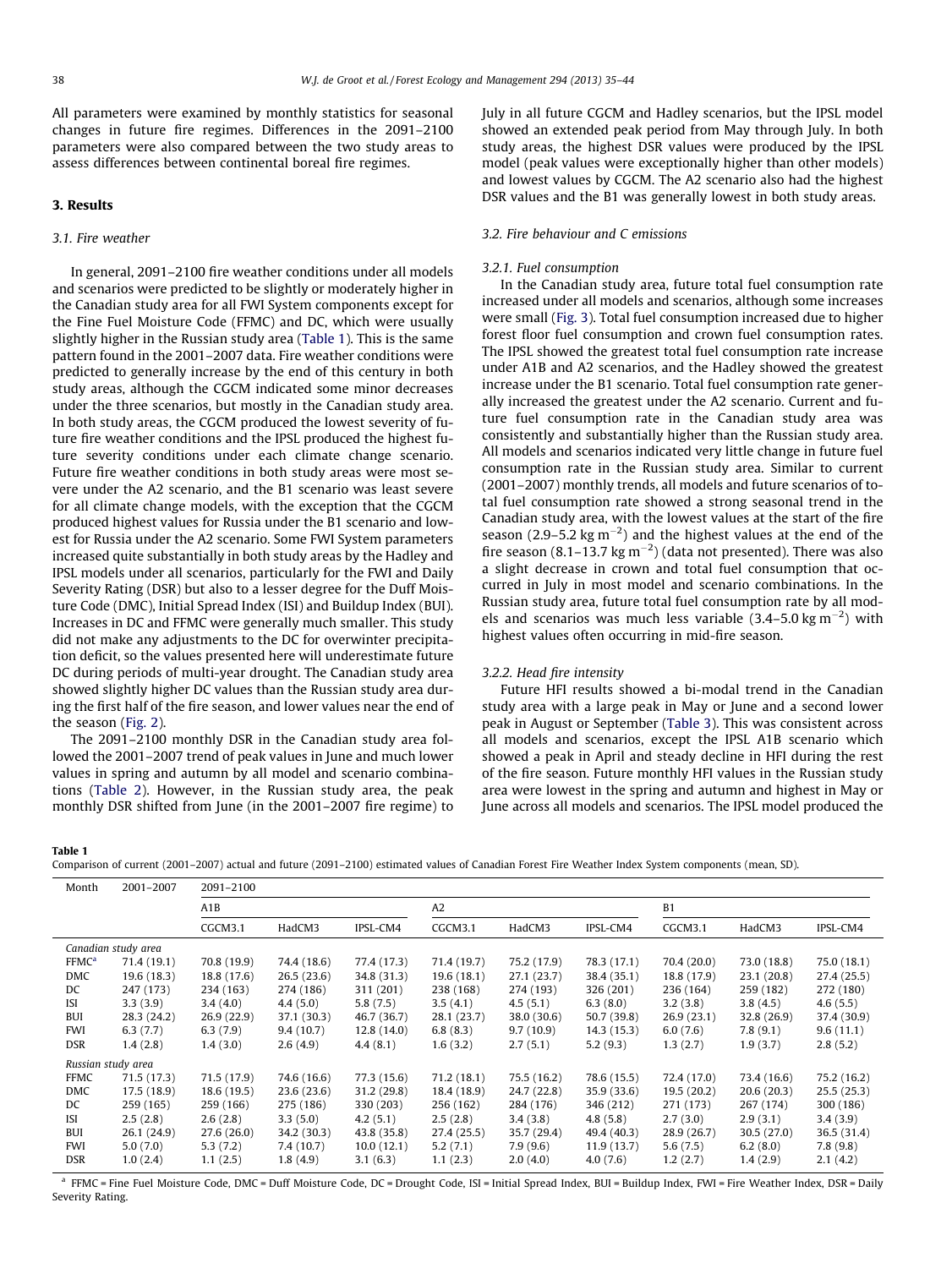All parameters were examined by monthly statistics for seasonal changes in future fire regimes. Differences in the 2091–2100 parameters were also compared between the two study areas to assess differences between continental boreal fire regimes.

## 3. Results

#### 3.1. Fire weather

In general, 2091–2100 fire weather conditions under all models and scenarios were predicted to be slightly or moderately higher in the Canadian study area for all FWI System components except for the Fine Fuel Moisture Code (FFMC) and DC, which were usually slightly higher in the Russian study area (Table 1). This is the same pattern found in the 2001–2007 data. Fire weather conditions were predicted to generally increase by the end of this century in both study areas, although the CGCM indicated some minor decreases under the three scenarios, but mostly in the Canadian study area. In both study areas, the CGCM produced the lowest severity of future fire weather conditions and the IPSL produced the highest future severity conditions under each climate change scenario. Future fire weather conditions in both study areas were most severe under the A2 scenario, and the B1 scenario was least severe for all climate change models, with the exception that the CGCM produced highest values for Russia under the B1 scenario and lowest for Russia under the A2 scenario. Some FWI System parameters increased quite substantially in both study areas by the Hadley and IPSL models under all scenarios, particularly for the FWI and Daily Severity Rating (DSR) but also to a lesser degree for the Duff Moisture Code (DMC), Initial Spread Index (ISI) and Buildup Index (BUI). Increases in DC and FFMC were generally much smaller. This study did not make any adjustments to the DC for overwinter precipitation deficit, so the values presented here will underestimate future DC during periods of multi-year drought. The Canadian study area showed slightly higher DC values than the Russian study area during the first half of the fire season, and lower values near the end of the season ([Fig. 2](#page-4-0)).

The 2091–2100 monthly DSR in the Canadian study area followed the 2001–2007 trend of peak values in June and much lower values in spring and autumn by all model and scenario combinations [\(Table 2\)](#page-4-0). However, in the Russian study area, the peak monthly DSR shifted from June (in the 2001–2007 fire regime) to July in all future CGCM and Hadley scenarios, but the IPSL model showed an extended peak period from May through July. In both study areas, the highest DSR values were produced by the IPSL model (peak values were exceptionally higher than other models) and lowest values by CGCM. The A2 scenario also had the highest DSR values and the B1 was generally lowest in both study areas.

#### 3.2. Fire behaviour and C emissions

#### 3.2.1. Fuel consumption

In the Canadian study area, future total fuel consumption rate increased under all models and scenarios, although some increases were small [\(Fig. 3](#page-5-0)). Total fuel consumption increased due to higher forest floor fuel consumption and crown fuel consumption rates. The IPSL showed the greatest total fuel consumption rate increase under A1B and A2 scenarios, and the Hadley showed the greatest increase under the B1 scenario. Total fuel consumption rate generally increased the greatest under the A2 scenario. Current and future fuel consumption rate in the Canadian study area was consistently and substantially higher than the Russian study area. All models and scenarios indicated very little change in future fuel consumption rate in the Russian study area. Similar to current (2001–2007) monthly trends, all models and future scenarios of total fuel consumption rate showed a strong seasonal trend in the Canadian study area, with the lowest values at the start of the fire season (2.9–5.2 kg  $m^{-2}$ ) and the highest values at the end of the fire season (8.1–13.7 kg  $m^{-2}$ ) (data not presented). There was also a slight decrease in crown and total fuel consumption that occurred in July in most model and scenario combinations. In the Russian study area, future total fuel consumption rate by all models and scenarios was much less variable  $(3.4-5.0 \text{ kg m}^{-2})$  with highest values often occurring in mid-fire season.

#### 3.2.2. Head fire intensity

Future HFI results showed a bi-modal trend in the Canadian study area with a large peak in May or June and a second lower peak in August or September ([Table 3](#page-5-0)). This was consistent across all models and scenarios, except the IPSL A1B scenario which showed a peak in April and steady decline in HFI during the rest of the fire season. Future monthly HFI values in the Russian study area were lowest in the spring and autumn and highest in May or June across all models and scenarios. The IPSL model produced the

Table 1

|  |  |  |  | Comparison of current (2001–2007) actual and future (2091–2100) estimated values of Canadian Forest Fire Weather Index System components (mean, SD). |
|--|--|--|--|------------------------------------------------------------------------------------------------------------------------------------------------------|
|--|--|--|--|------------------------------------------------------------------------------------------------------------------------------------------------------|

| Month                    | 2001-2007           | 2091-2100   |             |             |             |             |             |             |             |             |  |
|--------------------------|---------------------|-------------|-------------|-------------|-------------|-------------|-------------|-------------|-------------|-------------|--|
|                          |                     | A1B         |             |             | A2          |             |             | B1          |             |             |  |
|                          |                     | CGCM3.1     | HadCM3      | IPSL-CM4    | CGCM3.1     | HadCM3      | IPSL-CM4    | CGCM3.1     | HadCM3      | IPSL-CM4    |  |
|                          | Canadian study area |             |             |             |             |             |             |             |             |             |  |
| <b>FFMC</b> <sup>a</sup> | 71.4 (19.1)         | 70.8 (19.9) | 74.4 (18.6) | 77.4 (17.3) | 71.4 (19.7) | 75.2 (17.9) | 78.3 (17.1) | 70.4 (20.0) | 73.0 (18.8) | 75.0(18.1)  |  |
| DMC                      | 19.6 (18.3)         | 18.8 (17.6) | 26.5 (23.6) | 34.8 (31.3) | 19.6(18.1)  | 27.1 (23.7) | 38.4 (35.1) | 18.8 (17.9) | 23.1(20.8)  | 27.4 (25.5) |  |
| DC                       | 247 (173)           | 234 (163)   | 274 (186)   | 311 (201)   | 238 (168)   | 274 (193)   | 326 (201)   | 236 (164)   | 259 (182)   | 272 (180)   |  |
| ISI                      | 3.3(3.9)            | 3.4(4.0)    | 4.4(5.0)    | 5.8(7.5)    | 3.5(4.1)    | 4.5(5.1)    | 6.3(8.0)    | 3.2(3.8)    | 3.8(4.5)    | 4.6(5.5)    |  |
| BUI                      | 28.3 (24.2)         | 26.9 (22.9) | 37.1 (30.3) | 46.7 (36.7) | 28.1 (23.7) | 38.0(30.6)  | 50.7 (39.8) | 26.9(23.1)  | 32.8(26.9)  | 37.4 (30.9) |  |
| <b>FWI</b>               | 6.3(7.7)            | 6.3(7.9)    | 9.4(10.7)   | 12.8(14.0)  | 6.8(8.3)    | 9.7(10.9)   | 14.3(15.3)  | 6.0(7.6)    | 7.8(9.1)    | 9.6(11.1)   |  |
| <b>DSR</b>               | 1.4(2.8)            | 1.4(3.0)    | 2.6(4.9)    | 4.4(8.1)    | 1.6(3.2)    | 2.7(5.1)    | 5.2(9.3)    | 1.3(2.7)    | 1.9(3.7)    | 2.8(5.2)    |  |
|                          | Russian study area  |             |             |             |             |             |             |             |             |             |  |
| <b>FFMC</b>              | 71.5 (17.3)         | 71.5 (17.9) | 74.6 (16.6) | 77.3 (15.6) | 71.2(18.1)  | 75.5 (16.2) | 78.6 (15.5) | 72.4 (17.0) | 73.4 (16.6) | 75.2 (16.2) |  |
| DMC                      | 17.5 (18.9)         | 18.6 (19.5) | 23.6(23.6)  | 31.2 (29.8) | 18.4 (18.9) | 24.7 (22.8) | 35.9 (33.6) | 19.5(20.2)  | 20.6(20.3)  | 25.5(25.3)  |  |
| DC                       | 259 (165)           | 259 (166)   | 275 (186)   | 330 (203)   | 256 (162)   | 284 (176)   | 346 (212)   | 271 (173)   | 267 (174)   | 300 (186)   |  |
| ISI                      | 2.5(2.8)            | 2.6(2.8)    | 3.3(5.0)    | 4.2(5.1)    | 2.5(2.8)    | 3.4(3.8)    | 4.8(5.8)    | 2.7(3.0)    | 2.9(3.1)    | 3.4(3.9)    |  |
| BUI                      | 26.1 (24.9)         | 27.6(26.0)  | 34.2 (30.3) | 43.8 (35.8) | 27.4 (25.5) | 35.7 (29.4) | 49.4 (40.3) | 28.9(26.7)  | 30.5(27.0)  | 36.5(31.4)  |  |
| <b>FWI</b>               | 5.0(7.0)            | 5.3(7.2)    | 7.4(10.7)   | 10.0(12.1)  | 5.2(7.1)    | 7.9(9.6)    | 11.9(13.7)  | 5.6(7.5)    | 6.2(8.0)    | 7.8(9.8)    |  |
| <b>DSR</b>               | 1.0(2.4)            | 1.1(2.5)    | 1.8(4.9)    | 3.1(6.3)    | 1.1(2.3)    | 2.0(4.0)    | 4.0(7.6)    | 1.2(2.7)    | 1.4(2.9)    | 2.1(4.2)    |  |

<sup>a</sup> FFMC = Fine Fuel Moisture Code, DMC = Duff Moisture Code, DC = Drought Code, ISI = Initial Spread Index, BUI = Buildup Index, FWI = Fire Weather Index, DSR = Daily Severity Rating.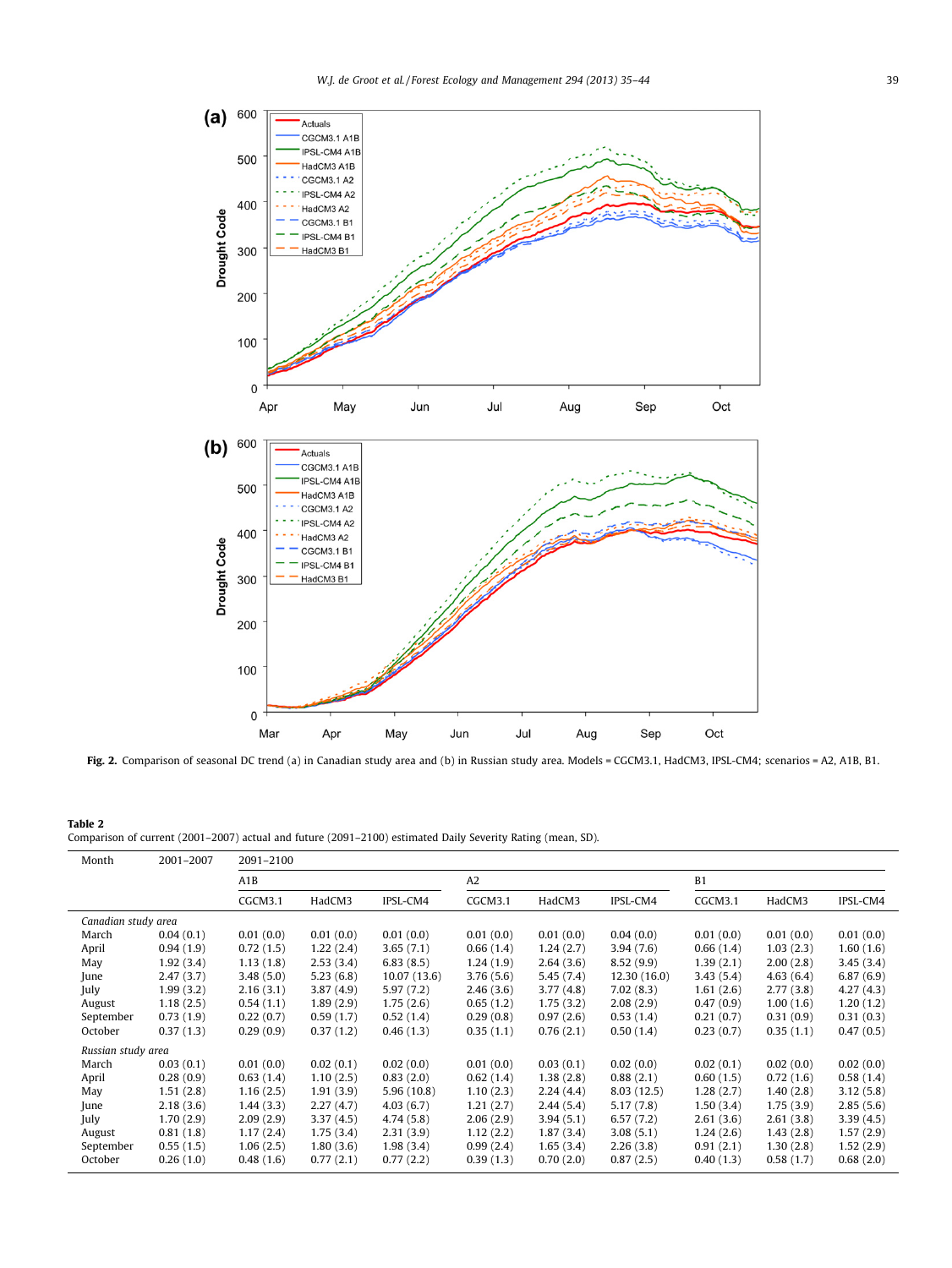<span id="page-4-0"></span>

Fig. 2. Comparison of seasonal DC trend (a) in Canadian study area and (b) in Russian study area. Models = CGCM3.1, HadCM3, IPSL-CM4; scenarios = A2, A1B, B1.

#### Table 2

Comparison of current (2001–2007) actual and future (2091–2100) estimated Daily Severity Rating (mean, SD).

| Month               | 2001-2007 | 2091-2100 |           |             |                |           |             |           |           |           |
|---------------------|-----------|-----------|-----------|-------------|----------------|-----------|-------------|-----------|-----------|-----------|
|                     |           | A1B       |           |             | A <sub>2</sub> |           |             | B1        |           |           |
|                     |           | CGCM3.1   | HadCM3    | IPSL-CM4    | CGCM3.1        | HadCM3    | IPSL-CM4    | CGCM3.1   | HadCM3    | IPSL-CM4  |
| Canadian study area |           |           |           |             |                |           |             |           |           |           |
| March               | 0.04(0.1) | 0.01(0.0) | 0.01(0.0) | 0.01(0.0)   | 0.01(0.0)      | 0.01(0.0) | 0.04(0.0)   | 0.01(0.0) | 0.01(0.0) | 0.01(0.0) |
| April               | 0.94(1.9) | 0.72(1.5) | 1.22(2.4) | 3.65(7.1)   | 0.66(1.4)      | 1.24(2.7) | 3.94(7.6)   | 0.66(1.4) | 1.03(2.3) | 1.60(1.6) |
| May                 | 1.92(3.4) | 1.13(1.8) | 2.53(3.4) | 6.83(8.5)   | 1.24(1.9)      | 2.64(3.6) | 8.52(9.9)   | 1.39(2.1) | 2.00(2.8) | 3.45(3.4) |
| June                | 2.47(3.7) | 3.48(5.0) | 5.23(6.8) | 10.07(13.6) | 3.76(5.6)      | 5.45(7.4) | 12.30(16.0) | 3.43(5.4) | 4.63(6.4) | 6.87(6.9) |
| July                | 1.99(3.2) | 2.16(3.1) | 3.87(4.9) | 5.97(7.2)   | 2.46(3.6)      | 3.77(4.8) | 7.02(8.3)   | 1.61(2.6) | 2.77(3.8) | 4.27(4.3) |
| August              | 1.18(2.5) | 0.54(1.1) | 1.89(2.9) | 1.75(2.6)   | 0.65(1.2)      | 1.75(3.2) | 2.08(2.9)   | 0.47(0.9) | 1.00(1.6) | 1.20(1.2) |
| September           | 0.73(1.9) | 0.22(0.7) | 0.59(1.7) | 0.52(1.4)   | 0.29(0.8)      | 0.97(2.6) | 0.53(1.4)   | 0.21(0.7) | 0.31(0.9) | 0.31(0.3) |
| October             | 0.37(1.3) | 0.29(0.9) | 0.37(1.2) | 0.46(1.3)   | 0.35(1.1)      | 0.76(2.1) | 0.50(1.4)   | 0.23(0.7) | 0.35(1.1) | 0.47(0.5) |
| Russian study area  |           |           |           |             |                |           |             |           |           |           |
| March               | 0.03(0.1) | 0.01(0.0) | 0.02(0.1) | 0.02(0.0)   | 0.01(0.0)      | 0.03(0.1) | 0.02(0.0)   | 0.02(0.1) | 0.02(0.0) | 0.02(0.0) |
| April               | 0.28(0.9) | 0.63(1.4) | 1.10(2.5) | 0.83(2.0)   | 0.62(1.4)      | 1.38(2.8) | 0.88(2.1)   | 0.60(1.5) | 0.72(1.6) | 0.58(1.4) |
| May                 | 1.51(2.8) | 1.16(2.5) | 1.91(3.9) | 5.96(10.8)  | 1.10(2.3)      | 2.24(4.4) | 8.03(12.5)  | 1.28(2.7) | 1.40(2.8) | 3.12(5.8) |
| June                | 2.18(3.6) | 1.44(3.3) | 2.27(4.7) | 4.03(6.7)   | 1.21(2.7)      | 2.44(5.4) | 5.17(7.8)   | 1.50(3.4) | 1.75(3.9) | 2.85(5.6) |
| July                | 1.70(2.9) | 2.09(2.9) | 3.37(4.5) | 4.74(5.8)   | 2.06(2.9)      | 3.94(5.1) | 6.57(7.2)   | 2.61(3.6) | 2.61(3.8) | 3.39(4.5) |
| August              | 0.81(1.8) | 1.17(2.4) | 1.75(3.4) | 2.31(3.9)   | 1.12(2.2)      | 1.87(3.4) | 3.08(5.1)   | 1.24(2.6) | 1.43(2.8) | 1.57(2.9) |
| September           | 0.55(1.5) | 1.06(2.5) | 1.80(3.6) | 1.98(3.4)   | 0.99(2.4)      | 1.65(3.4) | 2.26(3.8)   | 0.91(2.1) | 1.30(2.8) | 1.52(2.9) |
| October             | 0.26(1.0) | 0.48(1.6) | 0.77(2.1) | 0.77(2.2)   | 0.39(1.3)      | 0.70(2.0) | 0.87(2.5)   | 0.40(1.3) | 0.58(1.7) | 0.68(2.0) |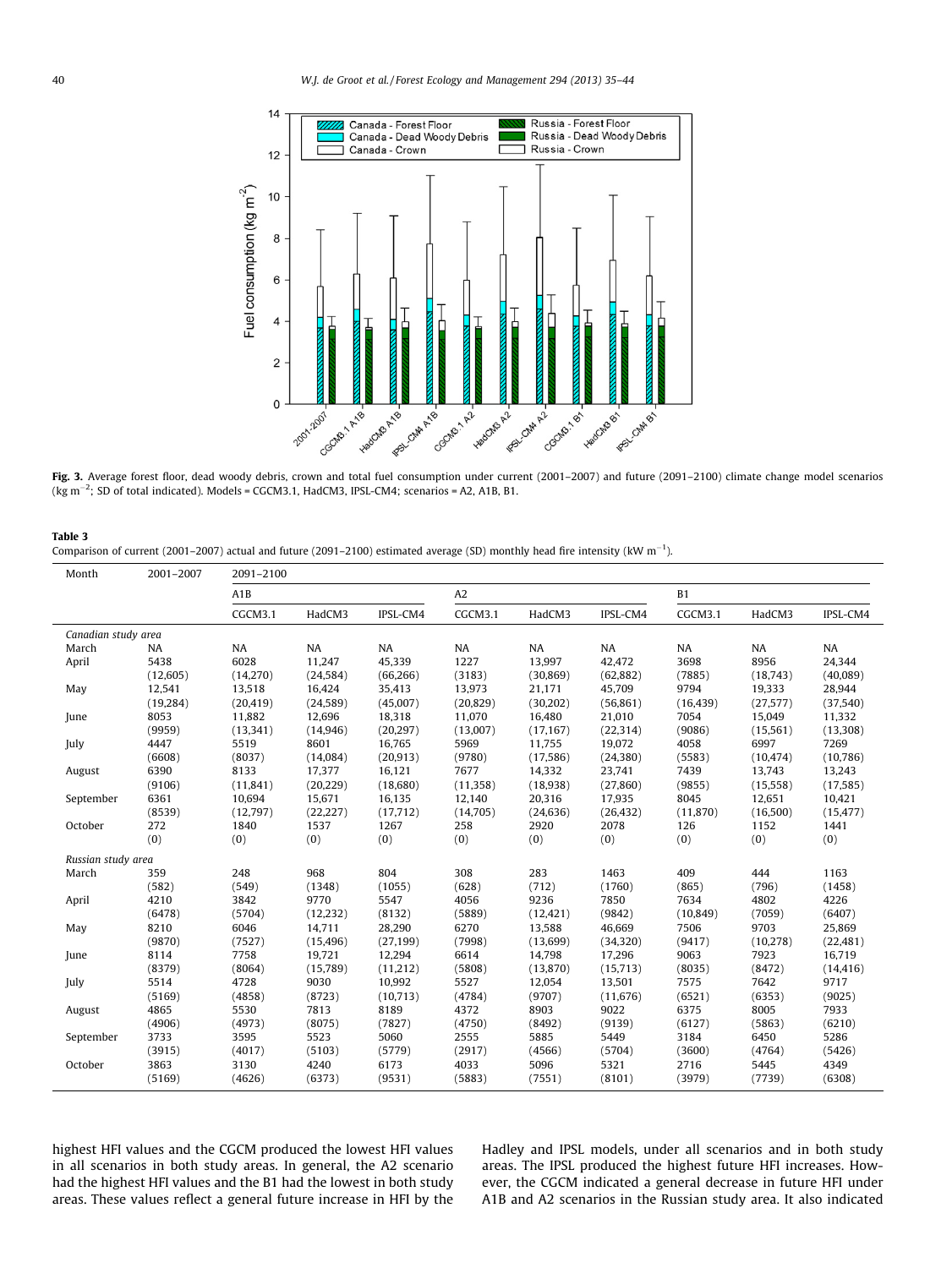<span id="page-5-0"></span>

Fig. 3. Average forest floor, dead woody debris, crown and total fuel consumption under current (2001-2007) and future (2091-2100) climate change model scenarios (kg m<sup>-2</sup>; SD of total indicated). Models = CGCM3.1, HadCM3, IPSL-CM4; scenarios = A2, A1B, B1.

#### Table 3 Comparison of current (2001–2007) actual and future (2091–2100) estimated average (SD) monthly head fire intensity (kW m $^{-1}$ ).

| Month               | 2001-2007      | 2091-2100      |                |                |                |                |                |                |                |                |
|---------------------|----------------|----------------|----------------|----------------|----------------|----------------|----------------|----------------|----------------|----------------|
|                     |                | A1B            |                |                | A2             |                |                | B1             |                |                |
|                     |                | CGCM3.1        | HadCM3         | IPSL-CM4       | CGCM3.1        | HadCM3         | IPSL-CM4       | CGCM3.1        | HadCM3         | IPSL-CM4       |
| Canadian study area |                |                |                |                |                |                |                |                |                |                |
| March               | <b>NA</b>      | NA             | NA             | <b>NA</b>      | NA             | NA             | NA             | NA             | NA             | NA             |
| April               | 5438           | 6028           | 11,247         | 45,339         | 1227           | 13,997         | 42,472         | 3698           | 8956           | 24,344         |
|                     | (12,605)       | (14,270)       | (24, 584)      | (66, 266)      | (3183)         | (30, 869)      | (62, 882)      | (7885)         | (18, 743)      | (40,089)       |
| May                 | 12,541         | 13,518         | 16,424         | 35,413         | 13,973         | 21,171         | 45,709         | 9794           | 19,333         | 28,944         |
|                     | (19, 284)      | (20, 419)      | (24, 589)      | (45,007)       | (20, 829)      | (30,202)       | (56, 861)      | (16, 439)      | (27, 577)      | (37, 540)      |
| June                | 8053           | 11,882         | 12,696         | 18,318         | 11,070         | 16,480         | 21,010         | 7054           | 15,049         | 11,332         |
|                     | (9959)         | (13, 341)      | (14, 946)      | (20, 297)      | (13,007)       | (17, 167)      | (22, 314)      | (9086)         | (15, 561)      | (13,308)       |
| July                | 4447           | 5519           | 8601           | 16,765         | 5969           | 11,755         | 19,072         | 4058           | 6997           | 7269           |
|                     | (6608)         | (8037)         | (14,084)       | (20, 913)      | (9780)         | (17, 586)      | (24, 380)      | (5583)         | (10, 474)      | (10, 786)      |
| August              | 6390           | 8133           | 17,377         | 16,121         | 7677           | 14,332         | 23,741         | 7439           | 13,743         | 13,243         |
|                     | (9106)         | (11, 841)      | (20, 229)      | (18,680)       | (11, 358)      | (18,938)       | (27, 860)      | (9855)         | (15,558)       | (17, 585)      |
| September           | 6361           | 10,694         | 15,671         | 16,135         | 12,140         | 20,316         | 17,935         | 8045           | 12,651         | 10,421         |
|                     | (8539)         | (12,797)       | (22, 227)      | (17, 712)      | (14,705)       | (24, 636)      | (26, 432)      | (11, 870)      | (16,500)       | (15, 477)      |
| October             | 272            | 1840           | 1537           | 1267           | 258            | 2920           | 2078           | 126            | 1152           | 1441           |
|                     | (0)            | (0)            | (0)            | (0)            | (0)            | (0)            | (0)            | (0)            | (0)            | (0)            |
| Russian study area  |                |                |                |                |                |                |                |                |                |                |
| March               | 359            | 248            | 968            | 804            | 308            | 283            | 1463           | 409            | 444            | 1163           |
|                     | (582)          | (549)          | (1348)         | (1055)         | (628)          | (712)          | (1760)         | (865)          | (796)          | (1458)         |
| April               | 4210           | 3842           | 9770           | 5547           | 4056           | 9236           | 7850           | 7634           | 4802           | 4226           |
|                     | (6478)         | (5704)         | (12, 232)      | (8132)         | (5889)         | (12, 421)      | (9842)         | (10, 849)      | (7059)         | (6407)         |
| May                 | 8210           | 6046           | 14,711         | 28,290         | 6270           | 13,588         | 46,669         | 7506           | 9703           | 25,869         |
|                     | (9870)         | (7527)         | (15, 496)      | (27, 199)      | (7998)         | (13,699)       | (34,320)       | (9417)         | (10,278)       | (22, 481)      |
| June                | 8114           | 7758           | 19,721         | 12,294         | 6614           | 14,798         | 17,296         | 9063           | 7923           | 16,719         |
|                     | (8379)         | (8064)         | (15,789)       | (11,212)       | (5808)         | (13,870)       | (15,713)       | (8035)         | (8472)         | (14, 416)      |
| July                | 5514           | 4728           | 9030           | 10,992         | 5527           | 12,054         | 13,501         | 7575           | 7642           | 9717           |
|                     | (5169)         | (4858)         | (8723)         | (10,713)       | (4784)         | (9707)         | (11, 676)      | (6521)         | (6353)         | (9025)         |
| August              | 4865           | 5530           | 7813           | 8189           | 4372           | 8903           | 9022           | 6375           | 8005           | 7933           |
|                     | (4906)<br>3733 | (4973)<br>3595 | (8075)<br>5523 | (7827)<br>5060 | (4750)<br>2555 | (8492)<br>5885 | (9139)<br>5449 | (6127)<br>3184 | (5863)<br>6450 | (6210)<br>5286 |
| September           | (3915)         | (4017)         | (5103)         | (5779)         | (2917)         | (4566)         | (5704)         | (3600)         | (4764)         | (5426)         |
| October             | 3863           | 3130           | 4240           | 6173           | 4033           | 5096           | 5321           | 2716           | 5445           | 4349           |
|                     | (5169)         | (4626)         | (6373)         | (9531)         | (5883)         | (7551)         | (8101)         | (3979)         | (7739)         | (6308)         |
|                     |                |                |                |                |                |                |                |                |                |                |

highest HFI values and the CGCM produced the lowest HFI values in all scenarios in both study areas. In general, the A2 scenario had the highest HFI values and the B1 had the lowest in both study areas. These values reflect a general future increase in HFI by the Hadley and IPSL models, under all scenarios and in both study areas. The IPSL produced the highest future HFI increases. However, the CGCM indicated a general decrease in future HFI under A1B and A2 scenarios in the Russian study area. It also indicated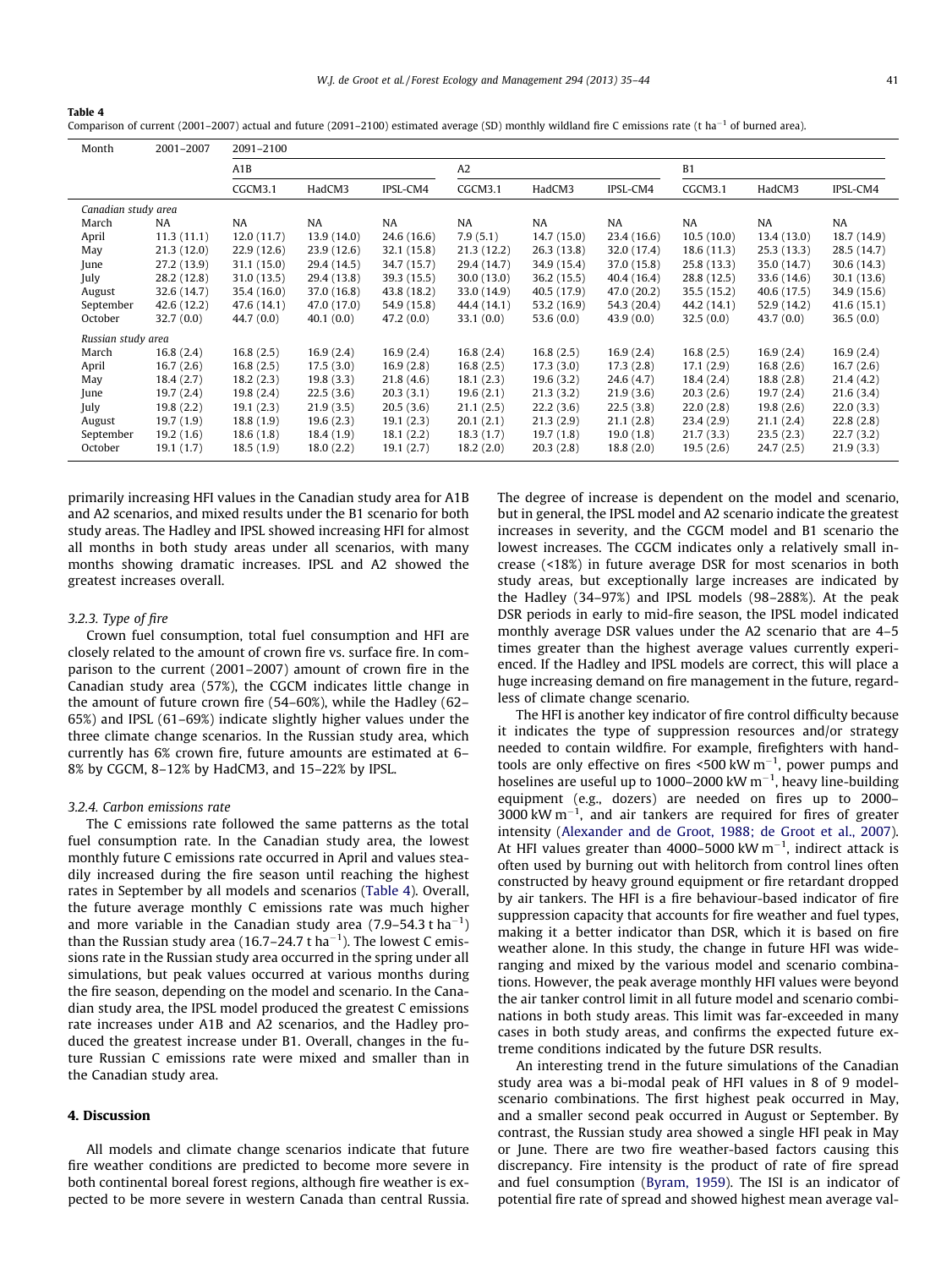| Table 4                                                                                                                                                            |  |
|--------------------------------------------------------------------------------------------------------------------------------------------------------------------|--|
| Comparison of current (2001–2007) actual and future (2091–2100) estimated average (SD) monthly wildland fire C emissions rate (t ha <sup>-1</sup> of burned area). |  |

| Month               | 2001-2007   | 2091-2100   |             |             |                |             |             |             |             |             |
|---------------------|-------------|-------------|-------------|-------------|----------------|-------------|-------------|-------------|-------------|-------------|
|                     |             | A1B         |             |             | A <sub>2</sub> |             |             | <b>B1</b>   |             |             |
|                     |             | CGCM3.1     | HadCM3      | IPSL-CM4    | CGCM3.1        | HadCM3      | IPSL-CM4    | CGCM3.1     | HadCM3      | IPSL-CM4    |
| Canadian study area |             |             |             |             |                |             |             |             |             |             |
| March               | NA.         | NA          | <b>NA</b>   | <b>NA</b>   | <b>NA</b>      | NA          | <b>NA</b>   | <b>NA</b>   | <b>NA</b>   | NA          |
| April               | 11.3(11.1)  | 12.0(11.7)  | 13.9(14.0)  | 24.6(16.6)  | 7.9(5.1)       | 14.7 (15.0) | 23.4 (16.6) | 10.5(10.0)  | 13.4(13.0)  | 18.7 (14.9) |
| May                 | 21.3(12.0)  | 22.9(12.6)  | 23.9(12.6)  | 32.1 (15.8) | 21.3(12.2)     | 26.3 (13.8) | 32.0 (17.4) | 18.6(11.3)  | 25.3(13.3)  | 28.5 (14.7) |
| June                | 27.2 (13.9) | 31.1 (15.0) | 29.4 (14.5) | 34.7 (15.7) | 29.4 (14.7)    | 34.9 (15.4) | 37.0 (15.8) | 25.8(13.3)  | 35.0 (14.7) | 30.6(14.3)  |
| July                | 28.2 (12.8) | 31.0(13.5)  | 29.4 (13.8) | 39.3 (15.5) | 30.0(13.0)     | 36.2 (15.5) | 40.4(16.4)  | 28.8 (12.5) | 33.6 (14.6) | 30.1(13.6)  |
| August              | 32.6 (14.7) | 35.4 (16.0) | 37.0 (16.8) | 43.8 (18.2) | 33.0 (14.9)    | 40.5 (17.9) | 47.0 (20.2) | 35.5 (15.2) | 40.6 (17.5) | 34.9 (15.6) |
| September           | 42.6(12.2)  | 47.6 (14.1) | 47.0 (17.0) | 54.9 (15.8) | 44.4 (14.1)    | 53.2 (16.9) | 54.3 (20.4) | 44.2 (14.1) | 52.9 (14.2) | 41.6(15.1)  |
| October             | 32.7(0.0)   | 44.7(0.0)   | 40.1(0.0)   | 47.2(0.0)   | 33.1(0.0)      | 53.6(0.0)   | 43.9(0.0)   | 32.5(0.0)   | 43.7(0.0)   | 36.5(0.0)   |
| Russian study area  |             |             |             |             |                |             |             |             |             |             |
| March               | 16.8(2.4)   | 16.8(2.5)   | 16.9(2.4)   | 16.9(2.4)   | 16.8(2.4)      | 16.8(2.5)   | 16.9(2.4)   | 16.8(2.5)   | 16.9(2.4)   | 16.9(2.4)   |
| April               | 16.7(2.6)   | 16.8(2.5)   | 17.5(3.0)   | 16.9(2.8)   | 16.8(2.5)      | 17.3(3.0)   | 17.3(2.8)   | 17.1(2.9)   | 16.8(2.6)   | 16.7(2.6)   |
| May                 | 18.4 (2.7)  | 18.2(2.3)   | 19.8(3.3)   | 21.8(4.6)   | 18.1(2.3)      | 19.6(3.2)   | 24.6(4.7)   | 18.4(2.4)   | 18.8(2.8)   | 21.4(4.2)   |
| June                | 19.7(2.4)   | 19.8(2.4)   | 22.5(3.6)   | 20.3(3.1)   | 19.6(2.1)      | 21.3(3.2)   | 21.9(3.6)   | 20.3(2.6)   | 19.7(2.4)   | 21.6(3.4)   |
| July                | 19.8(2.2)   | 19.1(2.3)   | 21.9(3.5)   | 20.5(3.6)   | 21.1(2.5)      | 22.2(3.6)   | 22.5(3.8)   | 22.0(2.8)   | 19.8(2.6)   | 22.0(3.3)   |
| August              | 19.7(1.9)   | 18.8(1.9)   | 19.6(2.3)   | 19.1(2.3)   | 20.1(2.1)      | 21.3(2.9)   | 21.1(2.8)   | 23.4(2.9)   | 21.1(2.4)   | 22.8(2.8)   |
| September           | 19.2(1.6)   | 18.6(1.8)   | 18.4(1.9)   | 18.1(2.2)   | 18.3(1.7)      | 19.7(1.8)   | 19.0(1.8)   | 21.7(3.3)   | 23.5(2.3)   | 22.7(3.2)   |
| October             | 19.1(1.7)   | 18.5(1.9)   | 18.0(2.2)   | 19.1(2.7)   | 18.2(2.0)      | 20.3(2.8)   | 18.8(2.0)   | 19.5(2.6)   | 24.7(2.5)   | 21.9(3.3)   |

primarily increasing HFI values in the Canadian study area for A1B and A2 scenarios, and mixed results under the B1 scenario for both study areas. The Hadley and IPSL showed increasing HFI for almost all months in both study areas under all scenarios, with many months showing dramatic increases. IPSL and A2 showed the greatest increases overall.

#### 3.2.3. Type of fire

Crown fuel consumption, total fuel consumption and HFI are closely related to the amount of crown fire vs. surface fire. In comparison to the current (2001–2007) amount of crown fire in the Canadian study area (57%), the CGCM indicates little change in the amount of future crown fire (54–60%), while the Hadley (62– 65%) and IPSL (61–69%) indicate slightly higher values under the three climate change scenarios. In the Russian study area, which currently has 6% crown fire, future amounts are estimated at 6– 8% by CGCM, 8–12% by HadCM3, and 15–22% by IPSL.

#### 3.2.4. Carbon emissions rate

The C emissions rate followed the same patterns as the total fuel consumption rate. In the Canadian study area, the lowest monthly future C emissions rate occurred in April and values steadily increased during the fire season until reaching the highest rates in September by all models and scenarios (Table 4). Overall, the future average monthly C emissions rate was much higher and more variable in the Canadian study area (7.9–54.3 t ha<sup>-1</sup>) than the Russian study area (16.7–24.7 t ha $^{-1}$ ). The lowest C emissions rate in the Russian study area occurred in the spring under all simulations, but peak values occurred at various months during the fire season, depending on the model and scenario. In the Canadian study area, the IPSL model produced the greatest C emissions rate increases under A1B and A2 scenarios, and the Hadley produced the greatest increase under B1. Overall, changes in the future Russian C emissions rate were mixed and smaller than in the Canadian study area.

## 4. Discussion

All models and climate change scenarios indicate that future fire weather conditions are predicted to become more severe in both continental boreal forest regions, although fire weather is expected to be more severe in western Canada than central Russia. The degree of increase is dependent on the model and scenario, but in general, the IPSL model and A2 scenario indicate the greatest increases in severity, and the CGCM model and B1 scenario the lowest increases. The CGCM indicates only a relatively small increase (<18%) in future average DSR for most scenarios in both study areas, but exceptionally large increases are indicated by the Hadley (34–97%) and IPSL models (98–288%). At the peak DSR periods in early to mid-fire season, the IPSL model indicated monthly average DSR values under the A2 scenario that are 4–5 times greater than the highest average values currently experienced. If the Hadley and IPSL models are correct, this will place a huge increasing demand on fire management in the future, regardless of climate change scenario.

The HFI is another key indicator of fire control difficulty because it indicates the type of suppression resources and/or strategy needed to contain wildfire. For example, firefighters with handtools are only effective on fires <500 kW  $m^{-1}$ , power pumps and hoselines are useful up to 1000–2000 kW  $m^{-1}$ , heavy line-building equipment (e.g., dozers) are needed on fires up to 2000– 3000 kW  $m^{-1}$ , and air tankers are required for fires of greater intensity [\(Alexander and de Groot, 1988; de Groot et al., 2007\)](#page-8-0). At HFI values greater than 4000–5000 kW  $m^{-1}$ , indirect attack is often used by burning out with helitorch from control lines often constructed by heavy ground equipment or fire retardant dropped by air tankers. The HFI is a fire behaviour-based indicator of fire suppression capacity that accounts for fire weather and fuel types, making it a better indicator than DSR, which it is based on fire weather alone. In this study, the change in future HFI was wideranging and mixed by the various model and scenario combinations. However, the peak average monthly HFI values were beyond the air tanker control limit in all future model and scenario combinations in both study areas. This limit was far-exceeded in many cases in both study areas, and confirms the expected future extreme conditions indicated by the future DSR results.

An interesting trend in the future simulations of the Canadian study area was a bi-modal peak of HFI values in 8 of 9 modelscenario combinations. The first highest peak occurred in May, and a smaller second peak occurred in August or September. By contrast, the Russian study area showed a single HFI peak in May or June. There are two fire weather-based factors causing this discrepancy. Fire intensity is the product of rate of fire spread and fuel consumption ([Byram, 1959\)](#page-8-0). The ISI is an indicator of potential fire rate of spread and showed highest mean average val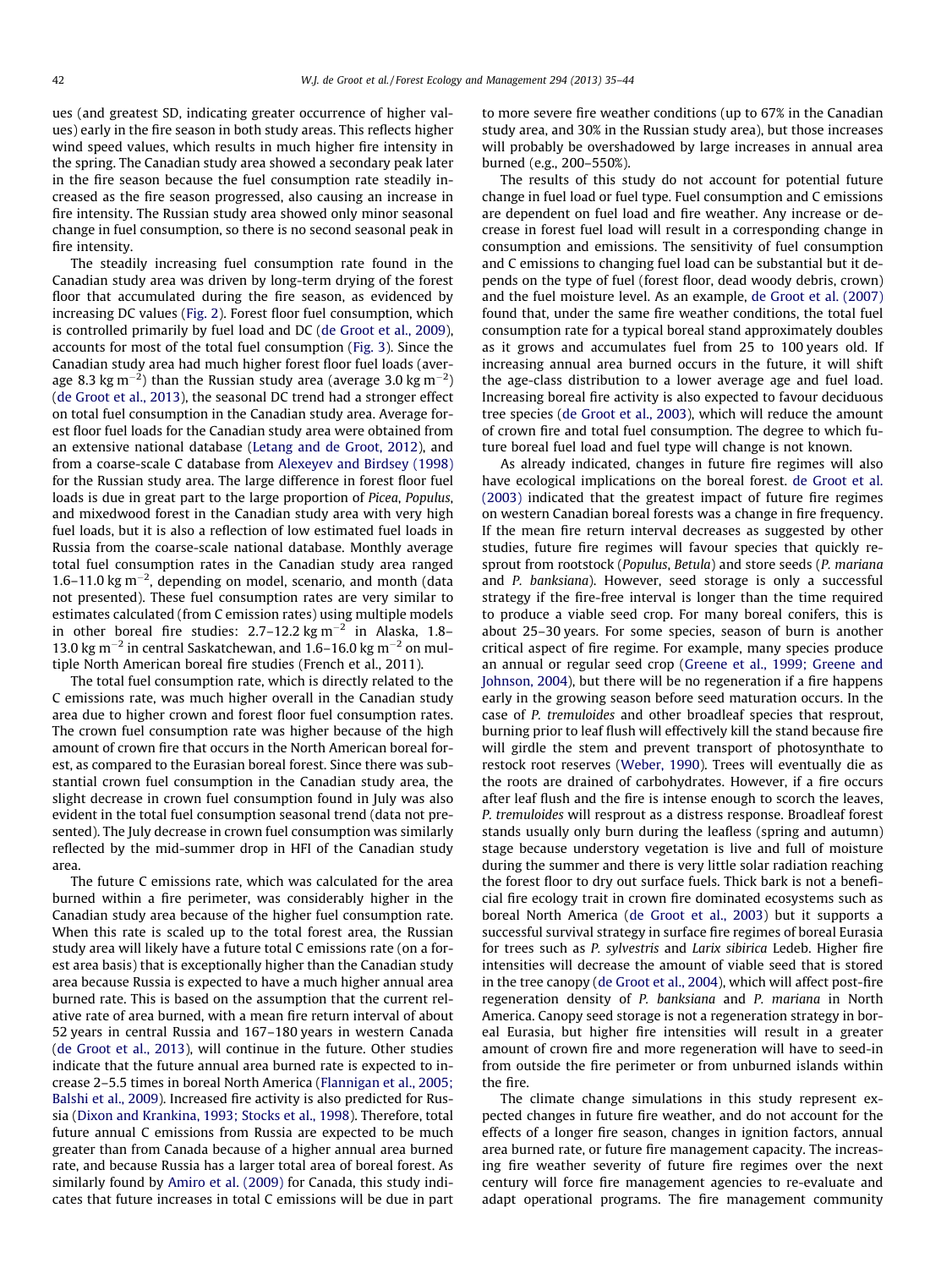ues (and greatest SD, indicating greater occurrence of higher values) early in the fire season in both study areas. This reflects higher wind speed values, which results in much higher fire intensity in the spring. The Canadian study area showed a secondary peak later in the fire season because the fuel consumption rate steadily increased as the fire season progressed, also causing an increase in fire intensity. The Russian study area showed only minor seasonal change in fuel consumption, so there is no second seasonal peak in fire intensity.

The steadily increasing fuel consumption rate found in the Canadian study area was driven by long-term drying of the forest floor that accumulated during the fire season, as evidenced by increasing DC values ([Fig. 2\)](#page-4-0). Forest floor fuel consumption, which is controlled primarily by fuel load and DC [\(de Groot et al., 2009\)](#page-8-0), accounts for most of the total fuel consumption ([Fig. 3](#page-5-0)). Since the Canadian study area had much higher forest floor fuel loads (average 8.3 kg m $^{-2}$ ) than the Russian study area (average 3.0 kg m $^{-2})$ ([de Groot et al., 2013\)](#page-8-0), the seasonal DC trend had a stronger effect on total fuel consumption in the Canadian study area. Average forest floor fuel loads for the Canadian study area were obtained from an extensive national database [\(Letang and de Groot, 2012\)](#page-8-0), and from a coarse-scale C database from [Alexeyev and Birdsey \(1998\)](#page-8-0) for the Russian study area. The large difference in forest floor fuel loads is due in great part to the large proportion of Picea, Populus, and mixedwood forest in the Canadian study area with very high fuel loads, but it is also a reflection of low estimated fuel loads in Russia from the coarse-scale national database. Monthly average total fuel consumption rates in the Canadian study area ranged 1.6-11.0  $\text{kg m}^{-2}$ , depending on model, scenario, and month (data not presented). These fuel consumption rates are very similar to estimates calculated (from C emission rates) using multiple models in other boreal fire studies: 2.7–12.2 kg  $m^{-2}$  in Alaska, 1.8– 13.0 kg m<sup>-2</sup> in central Saskatchewan, and 1.6-16.0 kg m<sup>-2</sup> on multiple North American boreal fire studies (French et al., 2011).

The total fuel consumption rate, which is directly related to the C emissions rate, was much higher overall in the Canadian study area due to higher crown and forest floor fuel consumption rates. The crown fuel consumption rate was higher because of the high amount of crown fire that occurs in the North American boreal forest, as compared to the Eurasian boreal forest. Since there was substantial crown fuel consumption in the Canadian study area, the slight decrease in crown fuel consumption found in July was also evident in the total fuel consumption seasonal trend (data not presented). The July decrease in crown fuel consumption was similarly reflected by the mid-summer drop in HFI of the Canadian study area.

The future C emissions rate, which was calculated for the area burned within a fire perimeter, was considerably higher in the Canadian study area because of the higher fuel consumption rate. When this rate is scaled up to the total forest area, the Russian study area will likely have a future total C emissions rate (on a forest area basis) that is exceptionally higher than the Canadian study area because Russia is expected to have a much higher annual area burned rate. This is based on the assumption that the current relative rate of area burned, with a mean fire return interval of about 52 years in central Russia and 167–180 years in western Canada ([de Groot et al., 2013\)](#page-8-0), will continue in the future. Other studies indicate that the future annual area burned rate is expected to increase 2–5.5 times in boreal North America ([Flannigan et al., 2005;](#page-8-0) [Balshi et al., 2009](#page-8-0)). Increased fire activity is also predicted for Russia [\(Dixon and Krankina, 1993; Stocks et al., 1998\)](#page-8-0). Therefore, total future annual C emissions from Russia are expected to be much greater than from Canada because of a higher annual area burned rate, and because Russia has a larger total area of boreal forest. As similarly found by [Amiro et al. \(2009\)](#page-8-0) for Canada, this study indicates that future increases in total C emissions will be due in part to more severe fire weather conditions (up to 67% in the Canadian study area, and 30% in the Russian study area), but those increases will probably be overshadowed by large increases in annual area burned (e.g., 200–550%).

The results of this study do not account for potential future change in fuel load or fuel type. Fuel consumption and C emissions are dependent on fuel load and fire weather. Any increase or decrease in forest fuel load will result in a corresponding change in consumption and emissions. The sensitivity of fuel consumption and C emissions to changing fuel load can be substantial but it depends on the type of fuel (forest floor, dead woody debris, crown) and the fuel moisture level. As an example, [de Groot et al. \(2007\)](#page-8-0) found that, under the same fire weather conditions, the total fuel consumption rate for a typical boreal stand approximately doubles as it grows and accumulates fuel from 25 to 100 years old. If increasing annual area burned occurs in the future, it will shift the age-class distribution to a lower average age and fuel load. Increasing boreal fire activity is also expected to favour deciduous tree species [\(de Groot et al., 2003\)](#page-8-0), which will reduce the amount of crown fire and total fuel consumption. The degree to which future boreal fuel load and fuel type will change is not known.

As already indicated, changes in future fire regimes will also have ecological implications on the boreal forest. [de Groot et al.](#page-8-0) [\(2003\)](#page-8-0) indicated that the greatest impact of future fire regimes on western Canadian boreal forests was a change in fire frequency. If the mean fire return interval decreases as suggested by other studies, future fire regimes will favour species that quickly resprout from rootstock (Populus, Betula) and store seeds (P. mariana and P. banksiana). However, seed storage is only a successful strategy if the fire-free interval is longer than the time required to produce a viable seed crop. For many boreal conifers, this is about 25–30 years. For some species, season of burn is another critical aspect of fire regime. For example, many species produce an annual or regular seed crop [\(Greene et al., 1999; Greene and](#page-8-0) [Johnson, 2004](#page-8-0)), but there will be no regeneration if a fire happens early in the growing season before seed maturation occurs. In the case of P. tremuloides and other broadleaf species that resprout, burning prior to leaf flush will effectively kill the stand because fire will girdle the stem and prevent transport of photosynthate to restock root reserves ([Weber, 1990\)](#page-9-0). Trees will eventually die as the roots are drained of carbohydrates. However, if a fire occurs after leaf flush and the fire is intense enough to scorch the leaves, P. tremuloides will resprout as a distress response. Broadleaf forest stands usually only burn during the leafless (spring and autumn) stage because understory vegetation is live and full of moisture during the summer and there is very little solar radiation reaching the forest floor to dry out surface fuels. Thick bark is not a beneficial fire ecology trait in crown fire dominated ecosystems such as boreal North America ([de Groot et al., 2003\)](#page-8-0) but it supports a successful survival strategy in surface fire regimes of boreal Eurasia for trees such as P. sylvestris and Larix sibirica Ledeb. Higher fire intensities will decrease the amount of viable seed that is stored in the tree canopy [\(de Groot et al., 2004](#page-8-0)), which will affect post-fire regeneration density of P. banksiana and P. mariana in North America. Canopy seed storage is not a regeneration strategy in boreal Eurasia, but higher fire intensities will result in a greater amount of crown fire and more regeneration will have to seed-in from outside the fire perimeter or from unburned islands within the fire.

The climate change simulations in this study represent expected changes in future fire weather, and do not account for the effects of a longer fire season, changes in ignition factors, annual area burned rate, or future fire management capacity. The increasing fire weather severity of future fire regimes over the next century will force fire management agencies to re-evaluate and adapt operational programs. The fire management community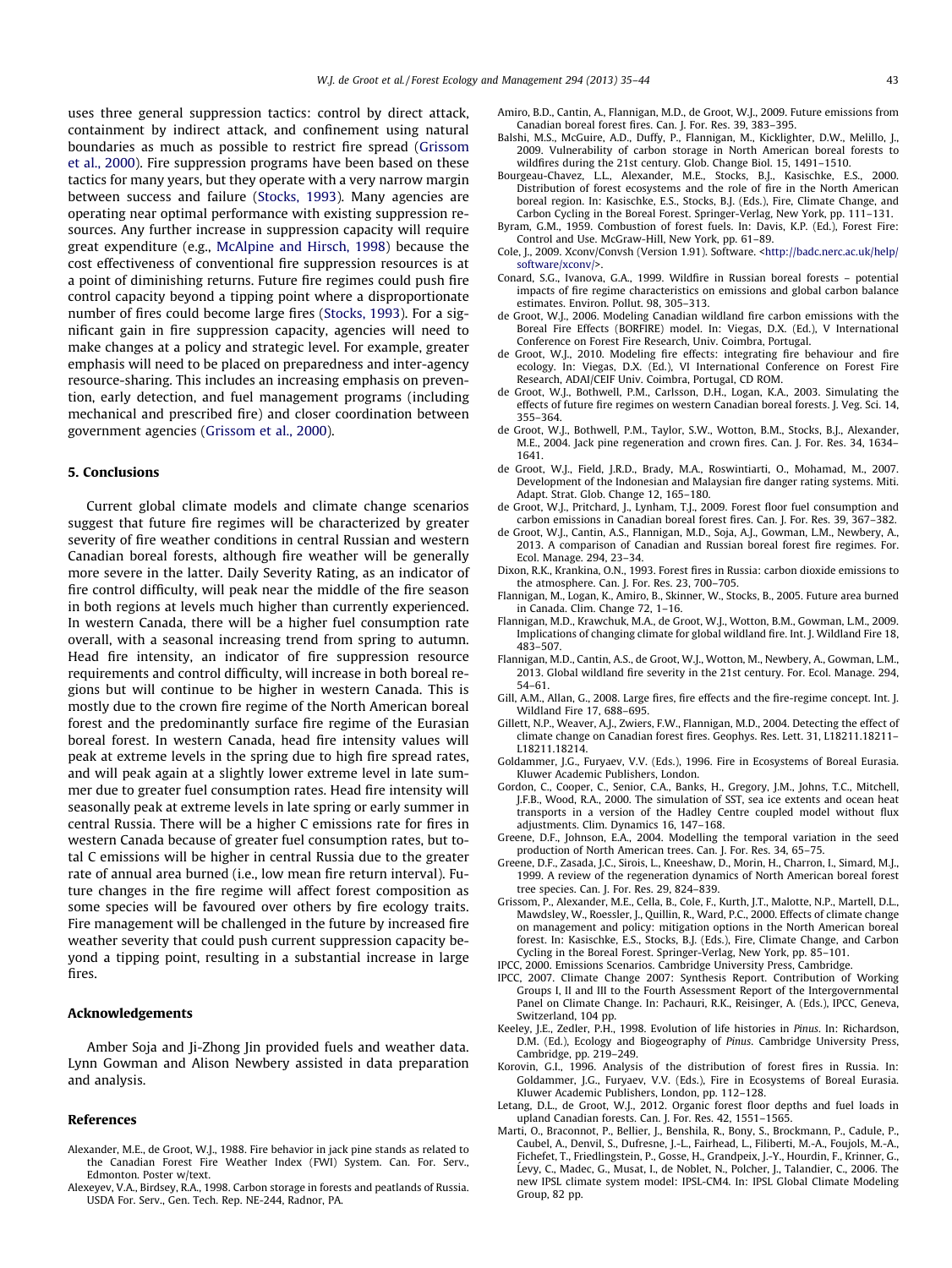<span id="page-8-0"></span>uses three general suppression tactics: control by direct attack, containment by indirect attack, and confinement using natural boundaries as much as possible to restrict fire spread (Grissom et al., 2000). Fire suppression programs have been based on these tactics for many years, but they operate with a very narrow margin between success and failure [\(Stocks, 1993\)](#page-9-0). Many agencies are operating near optimal performance with existing suppression resources. Any further increase in suppression capacity will require great expenditure (e.g., [McAlpine and Hirsch, 1998](#page-9-0)) because the cost effectiveness of conventional fire suppression resources is at a point of diminishing returns. Future fire regimes could push fire control capacity beyond a tipping point where a disproportionate number of fires could become large fires ([Stocks, 1993](#page-9-0)). For a significant gain in fire suppression capacity, agencies will need to make changes at a policy and strategic level. For example, greater emphasis will need to be placed on preparedness and inter-agency resource-sharing. This includes an increasing emphasis on prevention, early detection, and fuel management programs (including mechanical and prescribed fire) and closer coordination between government agencies (Grissom et al., 2000).

#### 5. Conclusions

Current global climate models and climate change scenarios suggest that future fire regimes will be characterized by greater severity of fire weather conditions in central Russian and western Canadian boreal forests, although fire weather will be generally more severe in the latter. Daily Severity Rating, as an indicator of fire control difficulty, will peak near the middle of the fire season in both regions at levels much higher than currently experienced. In western Canada, there will be a higher fuel consumption rate overall, with a seasonal increasing trend from spring to autumn. Head fire intensity, an indicator of fire suppression resource requirements and control difficulty, will increase in both boreal regions but will continue to be higher in western Canada. This is mostly due to the crown fire regime of the North American boreal forest and the predominantly surface fire regime of the Eurasian boreal forest. In western Canada, head fire intensity values will peak at extreme levels in the spring due to high fire spread rates, and will peak again at a slightly lower extreme level in late summer due to greater fuel consumption rates. Head fire intensity will seasonally peak at extreme levels in late spring or early summer in central Russia. There will be a higher C emissions rate for fires in western Canada because of greater fuel consumption rates, but total C emissions will be higher in central Russia due to the greater rate of annual area burned (i.e., low mean fire return interval). Future changes in the fire regime will affect forest composition as some species will be favoured over others by fire ecology traits. Fire management will be challenged in the future by increased fire weather severity that could push current suppression capacity beyond a tipping point, resulting in a substantial increase in large fires.

#### Acknowledgements

Amber Soja and Ji-Zhong Jin provided fuels and weather data. Lynn Gowman and Alison Newbery assisted in data preparation and analysis.

#### References

- Alexander, M.E., de Groot, W.J., 1988. Fire behavior in jack pine stands as related to the Canadian Forest Fire Weather Index (FWI) System. Can. For. Serv., Edmonton. Poster w/text.
- Alexeyev, V.A., Birdsey, R.A., 1998. Carbon storage in forests and peatlands of Russia. USDA For. Serv., Gen. Tech. Rep. NE-244, Radnor, PA.
- Amiro, B.D., Cantin, A., Flannigan, M.D., de Groot, W.J., 2009. Future emissions from Canadian boreal forest fires. Can. J. For. Res. 39, 383–395.
- Balshi, M.S., McGuire, A.D., Duffy, P., Flannigan, M., Kicklighter, D.W., Melillo, J., 2009. Vulnerability of carbon storage in North American boreal forests to wildfires during the 21st century. Glob. Change Biol. 15, 1491–1510.
- Bourgeau-Chavez, L.L., Alexander, M.E., Stocks, B.J., Kasischke, E.S., 2000. Distribution of forest ecosystems and the role of fire in the North American boreal region. In: Kasischke, E.S., Stocks, B.J. (Eds.), Fire, Climate Change, and Carbon Cycling in the Boreal Forest. Springer-Verlag, New York, pp. 111–131.
- Byram, G.M., 1959. Combustion of forest fuels. In: Davis, K.P. (Ed.), Forest Fire: Control and Use. McGraw-Hill, New York, pp. 61–89.
- Cole, J., 2009. Xconv/Convsh (Version 1.91). Software. <[http://badc.nerc.ac.uk/help/](http://badc.nerc.ac.uk/help/software/xconv/) [software/xconv/](http://badc.nerc.ac.uk/help/software/xconv/)>.
- Conard, S.G., Ivanova, G.A., 1999. Wildfire in Russian boreal forests potential impacts of fire regime characteristics on emissions and global carbon balance estimates. Environ. Pollut. 98, 305–313.
- de Groot, W.J., 2006. Modeling Canadian wildland fire carbon emissions with the Boreal Fire Effects (BORFIRE) model. In: Viegas, D.X. (Ed.), V International Conference on Forest Fire Research, Univ. Coimbra, Portugal.
- de Groot, W.J., 2010. Modeling fire effects: integrating fire behaviour and fire ecology. In: Viegas, D.X. (Ed.), VI International Conference on Forest Fire Research, ADAI/CEIF Univ. Coimbra, Portugal, CD ROM.
- de Groot, W.J., Bothwell, P.M., Carlsson, D.H., Logan, K.A., 2003. Simulating the effects of future fire regimes on western Canadian boreal forests. J. Veg. Sci. 14, 355–364.
- de Groot, W.J., Bothwell, P.M., Taylor, S.W., Wotton, B.M., Stocks, B.J., Alexander, M.E., 2004. Jack pine regeneration and crown fires. Can. J. For. Res. 34, 1634– 1641.
- de Groot, W.J., Field, J.R.D., Brady, M.A., Roswintiarti, O., Mohamad, M., 2007. Development of the Indonesian and Malaysian fire danger rating systems. Miti. Adapt. Strat. Glob. Change 12, 165–180.
- de Groot, W.J., Pritchard, J., Lynham, T.J., 2009. Forest floor fuel consumption and carbon emissions in Canadian boreal forest fires. Can. J. For. Res. 39, 367–382.
- de Groot, W.J., Cantin, A.S., Flannigan, M.D., Soja, A.J., Gowman, L.M., Newbery, A., 2013. A comparison of Canadian and Russian boreal forest fire regimes. For. Ecol. Manage. 294, 23–34.
- Dixon, R.K., Krankina, O.N., 1993. Forest fires in Russia: carbon dioxide emissions to the atmosphere. Can. J. For. Res. 23, 700–705.
- Flannigan, M., Logan, K., Amiro, B., Skinner, W., Stocks, B., 2005. Future area burned in Canada. Clim. Change 72, 1–16.
- Flannigan, M.D., Krawchuk, M.A., de Groot, W.J., Wotton, B.M., Gowman, L.M., 2009. Implications of changing climate for global wildland fire. Int. J. Wildland Fire 18, 483–507.
- Flannigan, M.D., Cantin, A.S., de Groot, W.J., Wotton, M., Newbery, A., Gowman, L.M., 2013. Global wildland fire severity in the 21st century. For. Ecol. Manage. 294, 54–61.
- Gill, A.M., Allan, G., 2008. Large fires, fire effects and the fire-regime concept. Int. J. Wildland Fire 17, 688–695.
- Gillett, N.P., Weaver, A.J., Zwiers, F.W., Flannigan, M.D., 2004. Detecting the effect of climate change on Canadian forest fires. Geophys. Res. Lett. 31, L18211.18211– L18211.18214.
- Goldammer, J.G., Furyaev, V.V. (Eds.), 1996. Fire in Ecosystems of Boreal Eurasia. Kluwer Academic Publishers, London.
- Gordon, C., Cooper, C., Senior, C.A., Banks, H., Gregory, J.M., Johns, T.C., Mitchell, J.F.B., Wood, R.A., 2000. The simulation of SST, sea ice extents and ocean heat transports in a version of the Hadley Centre coupled model without flux adjustments. Clim. Dynamics 16, 147–168.
- Greene, D.F., Johnson, E.A., 2004. Modelling the temporal variation in the seed production of North American trees. Can. J. For. Res. 34, 65–75.
- Greene, D.F., Zasada, J.C., Sirois, L., Kneeshaw, D., Morin, H., Charron, I., Simard, M.J., 1999. A review of the regeneration dynamics of North American boreal forest tree species. Can. J. For. Res. 29, 824–839.
- Grissom, P., Alexander, M.E., Cella, B., Cole, F., Kurth, J.T., Malotte, N.P., Martell, D.L., Mawdsley, W., Roessler, J., Quillin, R., Ward, P.C., 2000. Effects of climate change on management and policy: mitigation options in the North American boreal forest. In: Kasischke, E.S., Stocks, B.J. (Eds.), Fire, Climate Change, and Carbon Cycling in the Boreal Forest. Springer-Verlag, New York, pp. 85–101.
- IPCC, 2000. Emissions Scenarios. Cambridge University Press, Cambridge.
- IPCC, 2007. Climate Change 2007: Synthesis Report. Contribution of Working Groups I, II and III to the Fourth Assessment Report of the Intergovernmental Panel on Climate Change. In: Pachauri, R.K., Reisinger, A. (Eds.), IPCC, Geneva, Switzerland, 104 pp.
- Keeley, J.E., Zedler, P.H., 1998. Evolution of life histories in Pinus. In: Richardson, D.M. (Ed.), Ecology and Biogeography of Pinus. Cambridge University Press, Cambridge, pp. 219–249.
- Korovin, G.I., 1996. Analysis of the distribution of forest fires in Russia. In: Goldammer, J.G., Furyaev, V.V. (Eds.), Fire in Ecosystems of Boreal Eurasia. Kluwer Academic Publishers, London, pp. 112–128.
- Letang, D.L., de Groot, W.J., 2012. Organic forest floor depths and fuel loads in upland Canadian forests. Can. J. For. Res. 42, 1551–1565.
- Marti, O., Braconnot, P., Bellier, J., Benshila, R., Bony, S., Brockmann, P., Cadule, P., Caubel, A., Denvil, S., Dufresne, J.-L., Fairhead, L., Filiberti, M.-A., Foujols, M.-A., Fichefet, T., Friedlingstein, P., Gosse, H., Grandpeix, J.-Y., Hourdin, F., Krinner, G., L´evy, C., Madec, G., Musat, I., de Noblet, N., Polcher, J., Talandier, C., 2006. The new IPSL climate system model: IPSL-CM4. In: IPSL Global Climate Modeling Group, 82 pp.